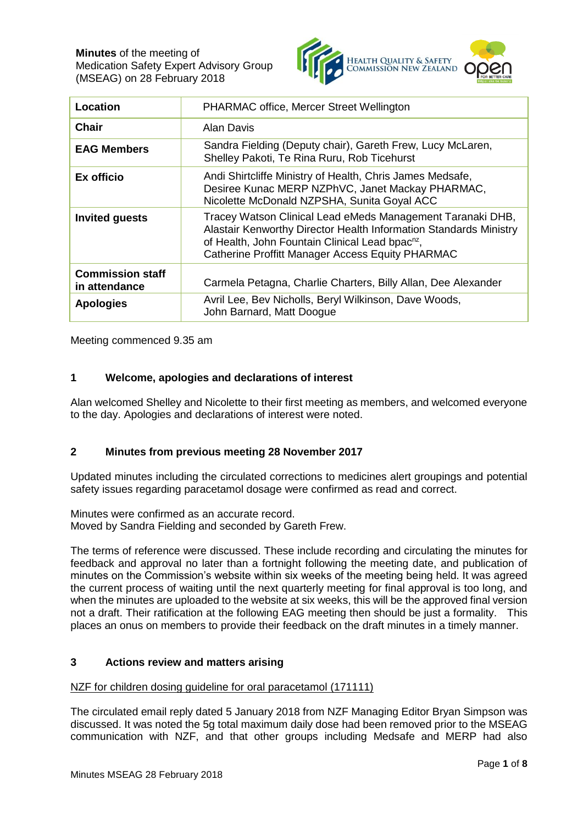**Minutes** of the meeting of Medication Safety Expert Advisory Group (MSEAG) on 28 February 2018



| Location                                 | PHARMAC office, Mercer Street Wellington                                                                                                                                                                                                           |
|------------------------------------------|----------------------------------------------------------------------------------------------------------------------------------------------------------------------------------------------------------------------------------------------------|
| Chair                                    | Alan Davis                                                                                                                                                                                                                                         |
| <b>EAG Members</b>                       | Sandra Fielding (Deputy chair), Gareth Frew, Lucy McLaren,<br>Shelley Pakoti, Te Rina Ruru, Rob Ticehurst                                                                                                                                          |
| <b>Ex officio</b>                        | Andi Shirtcliffe Ministry of Health, Chris James Medsafe,<br>Desiree Kunac MERP NZPhVC, Janet Mackay PHARMAC,<br>Nicolette McDonald NZPSHA, Sunita Goyal ACC                                                                                       |
| <b>Invited guests</b>                    | Tracey Watson Clinical Lead eMeds Management Taranaki DHB,<br>Alastair Kenworthy Director Health Information Standards Ministry<br>of Health, John Fountain Clinical Lead bpac <sup>nz</sup> ,<br>Catherine Proffitt Manager Access Equity PHARMAC |
| <b>Commission staff</b><br>in attendance | Carmela Petagna, Charlie Charters, Billy Allan, Dee Alexander                                                                                                                                                                                      |
| <b>Apologies</b>                         | Avril Lee, Bev Nicholls, Beryl Wilkinson, Dave Woods,<br>John Barnard, Matt Doogue                                                                                                                                                                 |

Meeting commenced 9.35 am

# **1 Welcome, apologies and declarations of interest**

Alan welcomed Shelley and Nicolette to their first meeting as members, and welcomed everyone to the day. Apologies and declarations of interest were noted.

# **2 Minutes from previous meeting 28 November 2017**

Updated minutes including the circulated corrections to medicines alert groupings and potential safety issues regarding paracetamol dosage were confirmed as read and correct.

Minutes were confirmed as an accurate record. Moved by Sandra Fielding and seconded by Gareth Frew.

The terms of reference were discussed. These include recording and circulating the minutes for feedback and approval no later than a fortnight following the meeting date, and publication of minutes on the Commission's website within six weeks of the meeting being held. It was agreed the current process of waiting until the next quarterly meeting for final approval is too long, and when the minutes are uploaded to the website at six weeks, this will be the approved final version not a draft. Their ratification at the following EAG meeting then should be just a formality. This places an onus on members to provide their feedback on the draft minutes in a timely manner.

# **3 Actions review and matters arising**

# NZF for children dosing guideline for oral paracetamol (171111)

The circulated email reply dated 5 January 2018 from NZF Managing Editor Bryan Simpson was discussed. It was noted the 5g total maximum daily dose had been removed prior to the MSEAG communication with NZF, and that other groups including Medsafe and MERP had also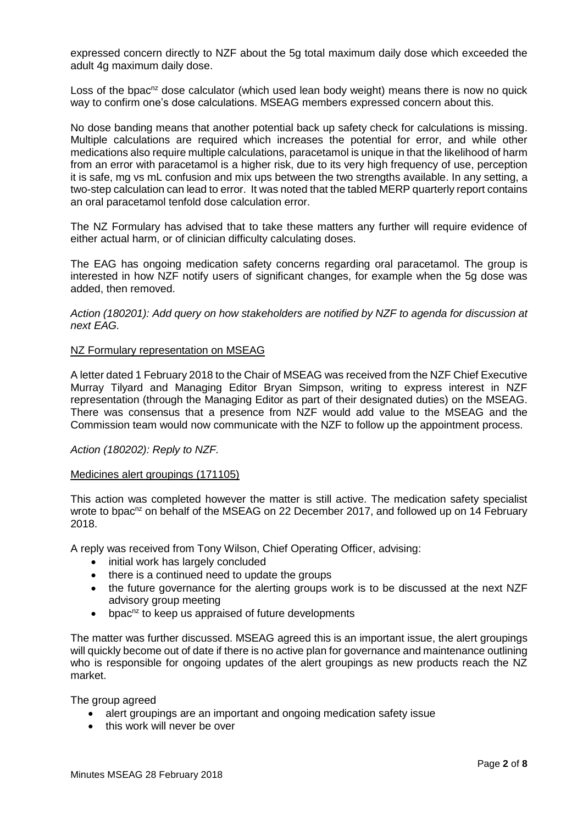expressed concern directly to NZF about the 5g total maximum daily dose which exceeded the adult 4g maximum daily dose.

Loss of the bpac<sup>nz</sup> dose calculator (which used lean body weight) means there is now no quick way to confirm one's dose calculations. MSEAG members expressed concern about this.

No dose banding means that another potential back up safety check for calculations is missing. Multiple calculations are required which increases the potential for error, and while other medications also require multiple calculations, paracetamol is unique in that the likelihood of harm from an error with paracetamol is a higher risk, due to its very high frequency of use, perception it is safe, mg vs mL confusion and mix ups between the two strengths available. In any setting, a two-step calculation can lead to error. It was noted that the tabled MERP quarterly report contains an oral paracetamol tenfold dose calculation error.

The NZ Formulary has advised that to take these matters any further will require evidence of either actual harm, or of clinician difficulty calculating doses.

The EAG has ongoing medication safety concerns regarding oral paracetamol. The group is interested in how NZF notify users of significant changes, for example when the 5g dose was added, then removed.

*Action (180201): Add query on how stakeholders are notified by NZF to agenda for discussion at next EAG.*

#### NZ Formulary representation on MSEAG

A letter dated 1 February 2018 to the Chair of MSEAG was received from the NZF Chief Executive Murray Tilyard and Managing Editor Bryan Simpson, writing to express interest in NZF representation (through the Managing Editor as part of their designated duties) on the MSEAG. There was consensus that a presence from NZF would add value to the MSEAG and the Commission team would now communicate with the NZF to follow up the appointment process.

## *Action (180202): Reply to NZF.*

#### Medicines alert groupings (171105)

This action was completed however the matter is still active. The medication safety specialist wrote to bpac<sup>nz</sup> on behalf of the MSEAG on 22 December 2017, and followed up on 14 February 2018.

A reply was received from Tony Wilson, Chief Operating Officer, advising:

- initial work has largely concluded
- there is a continued need to update the groups
- the future governance for the alerting groups work is to be discussed at the next NZF advisory group meeting
- bpac<sup>nz</sup> to keep us appraised of future developments

The matter was further discussed. MSEAG agreed this is an important issue, the alert groupings will quickly become out of date if there is no active plan for governance and maintenance outlining who is responsible for ongoing updates of the alert groupings as new products reach the NZ market.

The group agreed

- alert groupings are an important and ongoing medication safety issue
- this work will never be over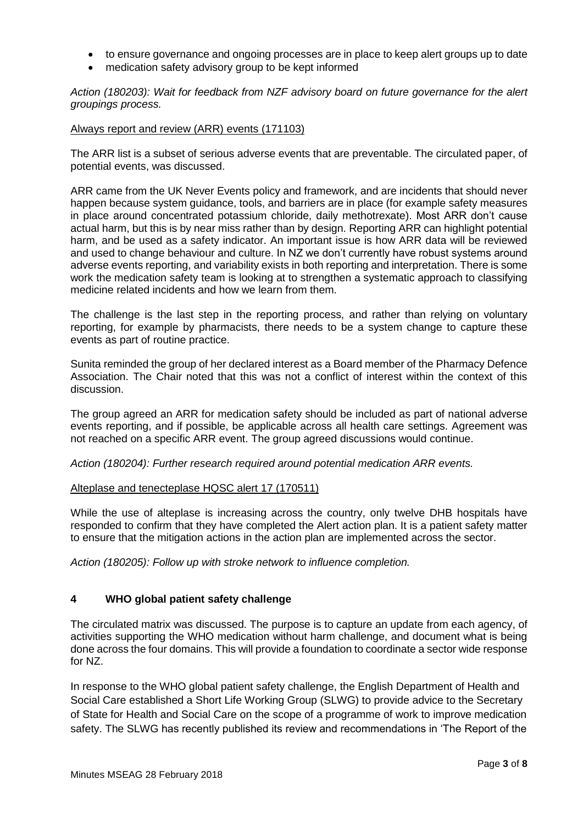- to ensure governance and ongoing processes are in place to keep alert groups up to date
- medication safety advisory group to be kept informed

*Action (180203): Wait for feedback from NZF advisory board on future governance for the alert groupings process.*

## Always report and review (ARR) events (171103)

The ARR list is a subset of serious adverse events that are preventable. The circulated paper, of potential events, was discussed.

ARR came from the UK Never Events policy and framework, and are incidents that should never happen because system guidance, tools, and barriers are in place (for example safety measures in place around concentrated potassium chloride, daily methotrexate). Most ARR don't cause actual harm, but this is by near miss rather than by design. Reporting ARR can highlight potential harm, and be used as a safety indicator. An important issue is how ARR data will be reviewed and used to change behaviour and culture. In NZ we don't currently have robust systems around adverse events reporting, and variability exists in both reporting and interpretation. There is some work the medication safety team is looking at to strengthen a systematic approach to classifying medicine related incidents and how we learn from them.

The challenge is the last step in the reporting process, and rather than relying on voluntary reporting, for example by pharmacists, there needs to be a system change to capture these events as part of routine practice.

Sunita reminded the group of her declared interest as a Board member of the Pharmacy Defence Association. The Chair noted that this was not a conflict of interest within the context of this discussion.

The group agreed an ARR for medication safety should be included as part of national adverse events reporting, and if possible, be applicable across all health care settings. Agreement was not reached on a specific ARR event. The group agreed discussions would continue.

*Action (180204): Further research required around potential medication ARR events.*

## Alteplase and tenecteplase HQSC alert 17 (170511)

While the use of alteplase is increasing across the country, only twelve DHB hospitals have responded to confirm that they have completed the Alert action plan. It is a patient safety matter to ensure that the mitigation actions in the action plan are implemented across the sector.

*Action (180205): Follow up with stroke network to influence completion.*

# **4 WHO global patient safety challenge**

The circulated matrix was discussed. The purpose is to capture an update from each agency, of activities supporting the WHO medication without harm challenge, and document what is being done across the four domains. This will provide a foundation to coordinate a sector wide response for NZ.

In response to the WHO global patient safety challenge, the English Department of Health and Social Care established a Short Life Working Group (SLWG) to provide advice to the Secretary of State for Health and Social Care on the scope of a programme of work to improve medication safety. The SLWG has recently published its review and recommendations in 'The Report of the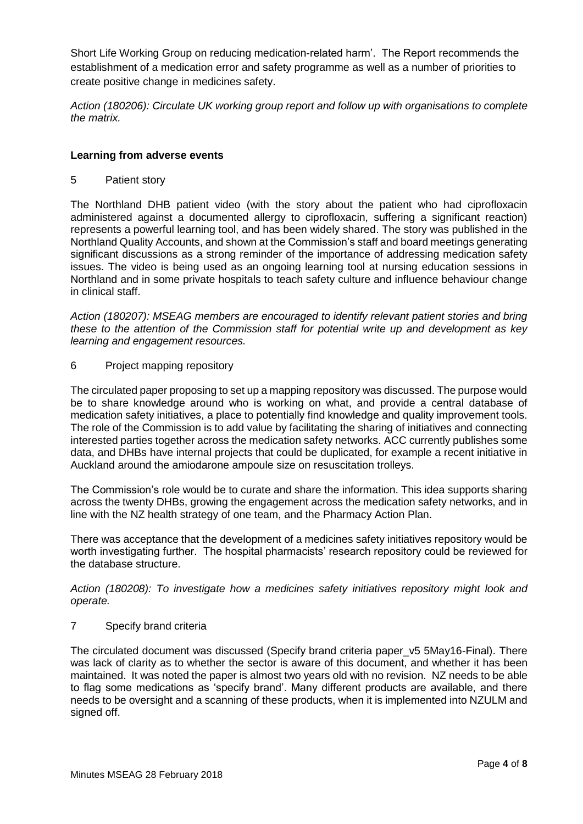Short Life Working Group on reducing medication-related harm'. The Report recommends the establishment of a medication error and safety programme as well as a number of priorities to create positive change in medicines safety.

*Action (180206): Circulate UK working group report and follow up with organisations to complete the matrix.*

## **Learning from adverse events**

5 Patient story

The Northland DHB patient video (with the story about the patient who had ciprofloxacin administered against a documented allergy to ciprofloxacin, suffering a significant reaction) represents a powerful learning tool, and has been widely shared. The story was published in the Northland Quality Accounts, and shown at the Commission's staff and board meetings generating significant discussions as a strong reminder of the importance of addressing medication safety issues. The video is being used as an ongoing learning tool at nursing education sessions in Northland and in some private hospitals to teach safety culture and influence behaviour change in clinical staff.

*Action (180207): MSEAG members are encouraged to identify relevant patient stories and bring these to the attention of the Commission staff for potential write up and development as key learning and engagement resources.*

## 6 Project mapping repository

The circulated paper proposing to set up a mapping repository was discussed. The purpose would be to share knowledge around who is working on what, and provide a central database of medication safety initiatives, a place to potentially find knowledge and quality improvement tools. The role of the Commission is to add value by facilitating the sharing of initiatives and connecting interested parties together across the medication safety networks. ACC currently publishes some data, and DHBs have internal projects that could be duplicated, for example a recent initiative in Auckland around the amiodarone ampoule size on resuscitation trolleys.

The Commission's role would be to curate and share the information. This idea supports sharing across the twenty DHBs, growing the engagement across the medication safety networks, and in line with the NZ health strategy of one team, and the Pharmacy Action Plan.

There was acceptance that the development of a medicines safety initiatives repository would be worth investigating further. The hospital pharmacists' research repository could be reviewed for the database structure.

*Action (180208): To investigate how a medicines safety initiatives repository might look and operate.*

## 7 Specify brand criteria

The circulated document was discussed (Specify brand criteria paper\_v5 5May16-Final). There was lack of clarity as to whether the sector is aware of this document, and whether it has been maintained. It was noted the paper is almost two years old with no revision. NZ needs to be able to flag some medications as 'specify brand'. Many different products are available, and there needs to be oversight and a scanning of these products, when it is implemented into NZULM and signed off.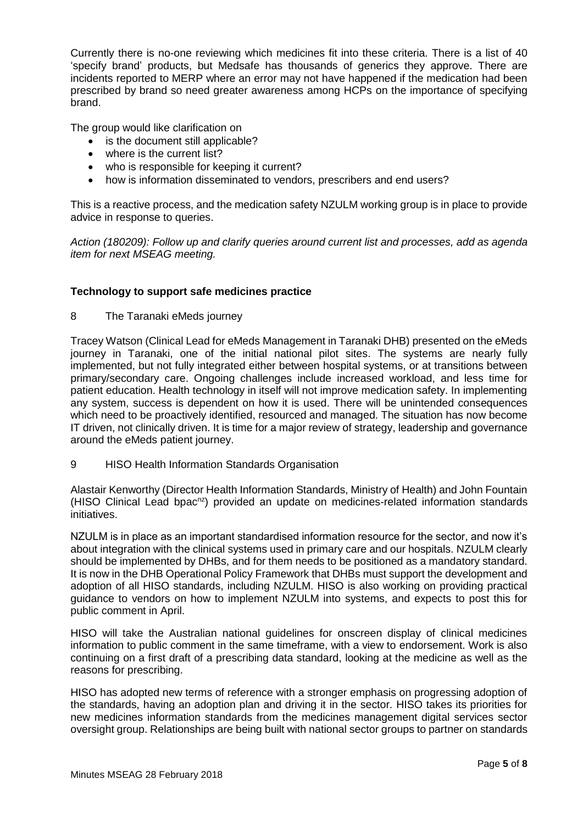Currently there is no-one reviewing which medicines fit into these criteria. There is a list of 40 'specify brand' products, but Medsafe has thousands of generics they approve. There are incidents reported to MERP where an error may not have happened if the medication had been prescribed by brand so need greater awareness among HCPs on the importance of specifying brand.

The group would like clarification on

- is the document still applicable?
- where is the current list?
- who is responsible for keeping it current?
- how is information disseminated to vendors, prescribers and end users?

This is a reactive process, and the medication safety NZULM working group is in place to provide advice in response to queries.

*Action (180209): Follow up and clarify queries around current list and processes, add as agenda item for next MSEAG meeting.*

# **Technology to support safe medicines practice**

8 The Taranaki eMeds journey

Tracey Watson (Clinical Lead for eMeds Management in Taranaki DHB) presented on the eMeds journey in Taranaki, one of the initial national pilot sites. The systems are nearly fully implemented, but not fully integrated either between hospital systems, or at transitions between primary/secondary care. Ongoing challenges include increased workload, and less time for patient education. Health technology in itself will not improve medication safety. In implementing any system, success is dependent on how it is used. There will be unintended consequences which need to be proactively identified, resourced and managed. The situation has now become IT driven, not clinically driven. It is time for a major review of strategy, leadership and governance around the eMeds patient journey.

9 HISO Health Information Standards Organisation

Alastair Kenworthy (Director Health Information Standards, Ministry of Health) and John Fountain (HISO Clinical Lead bpac<sup>nz</sup>) provided an update on medicines-related information standards initiatives.

NZULM is in place as an important standardised information resource for the sector, and now it's about integration with the clinical systems used in primary care and our hospitals. NZULM clearly should be implemented by DHBs, and for them needs to be positioned as a mandatory standard. It is now in the DHB Operational Policy Framework that DHBs must support the development and adoption of all HISO standards, including NZULM. HISO is also working on providing practical guidance to vendors on how to implement NZULM into systems, and expects to post this for public comment in April.

HISO will take the Australian national guidelines for onscreen display of clinical medicines information to public comment in the same timeframe, with a view to endorsement. Work is also continuing on a first draft of a prescribing data standard, looking at the medicine as well as the reasons for prescribing.

HISO has adopted new terms of reference with a stronger emphasis on progressing adoption of the standards, having an adoption plan and driving it in the sector. HISO takes its priorities for new medicines information standards from the medicines management digital services sector oversight group. Relationships are being built with national sector groups to partner on standards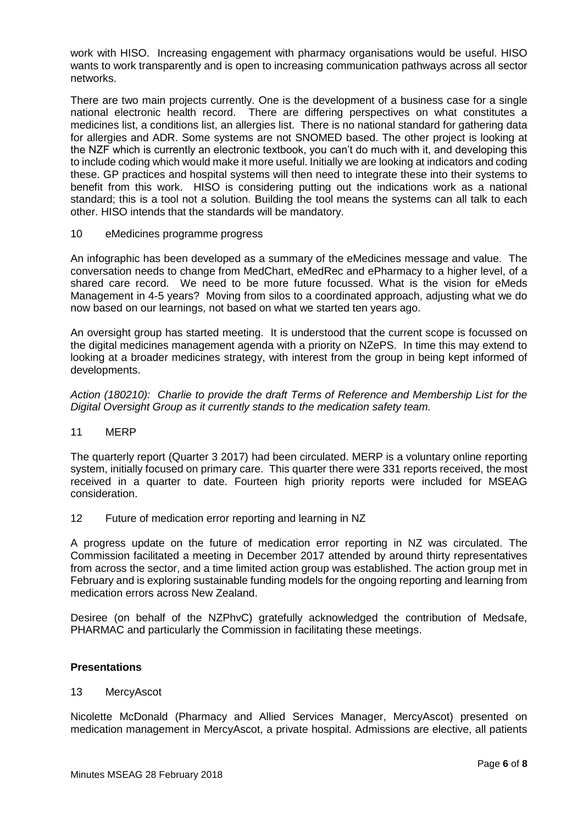work with HISO. Increasing engagement with pharmacy organisations would be useful. HISO wants to work transparently and is open to increasing communication pathways across all sector networks.

There are two main projects currently. One is the development of a business case for a single national electronic health record. There are differing perspectives on what constitutes a medicines list, a conditions list, an allergies list. There is no national standard for gathering data for allergies and ADR. Some systems are not SNOMED based. The other project is looking at the NZF which is currently an electronic textbook, you can't do much with it, and developing this to include coding which would make it more useful. Initially we are looking at indicators and coding these. GP practices and hospital systems will then need to integrate these into their systems to benefit from this work. HISO is considering putting out the indications work as a national standard; this is a tool not a solution. Building the tool means the systems can all talk to each other. HISO intends that the standards will be mandatory.

10 eMedicines programme progress

An infographic has been developed as a summary of the eMedicines message and value. The conversation needs to change from MedChart, eMedRec and ePharmacy to a higher level, of a shared care record. We need to be more future focussed. What is the vision for eMeds Management in 4-5 years? Moving from silos to a coordinated approach, adjusting what we do now based on our learnings, not based on what we started ten years ago.

An oversight group has started meeting. It is understood that the current scope is focussed on the digital medicines management agenda with a priority on NZePS. In time this may extend to looking at a broader medicines strategy, with interest from the group in being kept informed of developments.

*Action (180210): Charlie to provide the draft Terms of Reference and Membership List for the Digital Oversight Group as it currently stands to the medication safety team.*

11 MERP

The quarterly report (Quarter 3 2017) had been circulated. MERP is a voluntary online reporting system, initially focused on primary care. This quarter there were 331 reports received, the most received in a quarter to date. Fourteen high priority reports were included for MSEAG consideration.

12 Future of medication error reporting and learning in NZ

A progress update on the future of medication error reporting in NZ was circulated. The Commission facilitated a meeting in December 2017 attended by around thirty representatives from across the sector, and a time limited action group was established. The action group met in February and is exploring sustainable funding models for the ongoing reporting and learning from medication errors across New Zealand.

Desiree (on behalf of the NZPhvC) gratefully acknowledged the contribution of Medsafe, PHARMAC and particularly the Commission in facilitating these meetings.

# **Presentations**

13 MercyAscot

Nicolette McDonald (Pharmacy and Allied Services Manager, MercyAscot) presented on medication management in MercyAscot, a private hospital. Admissions are elective, all patients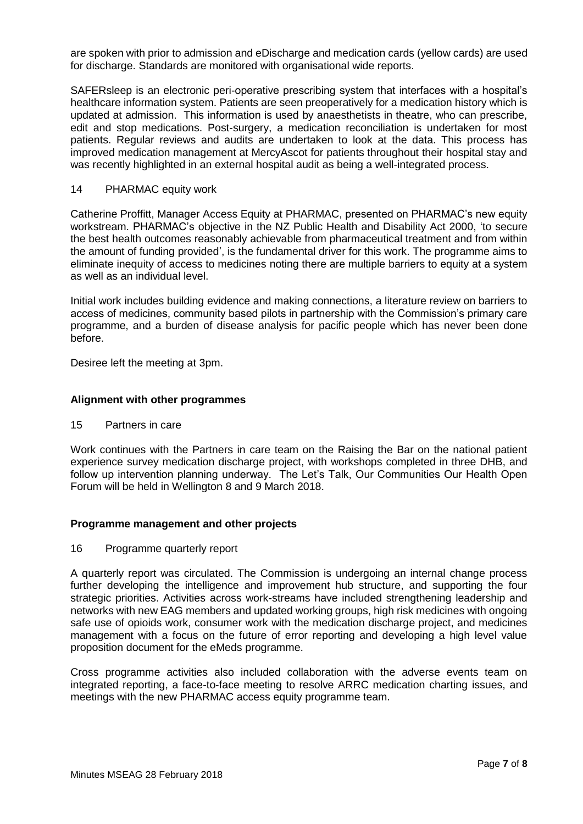are spoken with prior to admission and eDischarge and medication cards (yellow cards) are used for discharge. Standards are monitored with organisational wide reports.

SAFERsleep is an electronic peri-operative prescribing system that interfaces with a hospital's healthcare information system. Patients are seen preoperatively for a medication history which is updated at admission. This information is used by anaesthetists in theatre, who can prescribe, edit and stop medications. Post-surgery, a medication reconciliation is undertaken for most patients. Regular reviews and audits are undertaken to look at the data. This process has improved medication management at MercyAscot for patients throughout their hospital stay and was recently highlighted in an external hospital audit as being a well-integrated process.

## 14 PHARMAC equity work

Catherine Proffitt, Manager Access Equity at PHARMAC, presented on PHARMAC's new equity workstream. PHARMAC's objective in the NZ Public Health and Disability Act 2000, 'to secure the best health outcomes reasonably achievable from pharmaceutical treatment and from within the amount of funding provided', is the fundamental driver for this work. The programme aims to eliminate inequity of access to medicines noting there are multiple barriers to equity at a system as well as an individual level.

Initial work includes building evidence and making connections, a literature review on barriers to access of medicines, community based pilots in partnership with the Commission's primary care programme, and a burden of disease analysis for pacific people which has never been done before.

Desiree left the meeting at 3pm.

## **Alignment with other programmes**

15 Partners in care

Work continues with the Partners in care team on the Raising the Bar on the national patient experience survey medication discharge project, with workshops completed in three DHB, and follow up intervention planning underway. The Let's Talk, Our Communities Our Health Open Forum will be held in Wellington 8 and 9 March 2018.

# **Programme management and other projects**

## 16 Programme quarterly report

A quarterly report was circulated. The Commission is undergoing an internal change process further developing the intelligence and improvement hub structure, and supporting the four strategic priorities. Activities across work-streams have included strengthening leadership and networks with new EAG members and updated working groups, high risk medicines with ongoing safe use of opioids work, consumer work with the medication discharge project, and medicines management with a focus on the future of error reporting and developing a high level value proposition document for the eMeds programme.

Cross programme activities also included collaboration with the adverse events team on integrated reporting, a face-to-face meeting to resolve ARRC medication charting issues, and meetings with the new PHARMAC access equity programme team.